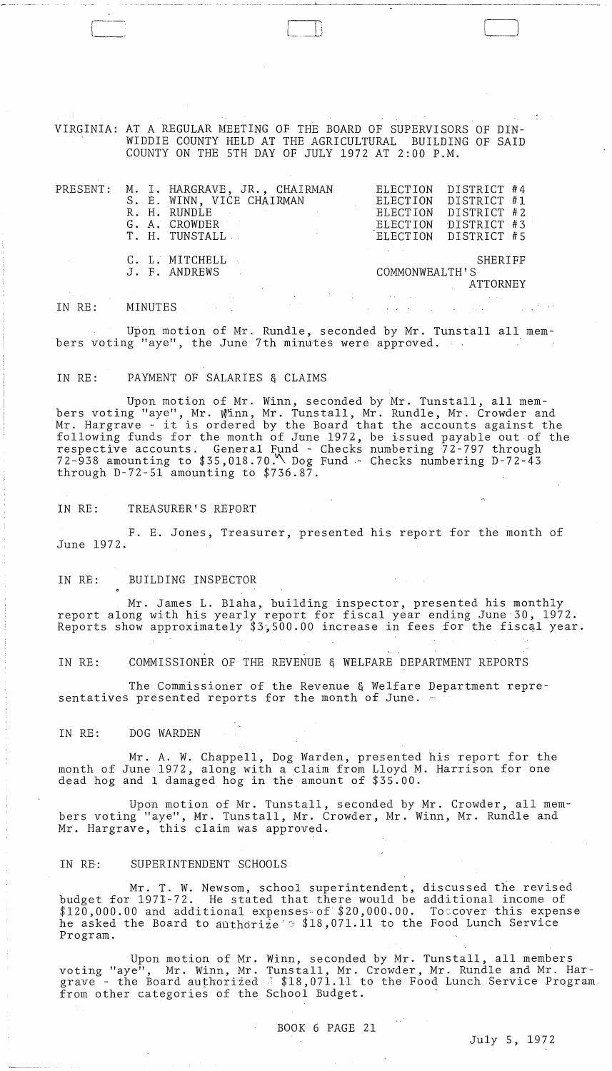VIRGINIA: AT A REGULAR MEETING OF THE BOARD OF SUPERVISORS OF DIN-WIDDIE COUNTY HELD AT THE AGRICULTURAL BUILDING OF SAID COUNTY ON THE 5TH DAY OF JULY 1972 AT 2:00 P.M.

| ${\tt PRESENT:}$ |  | M. I. HARGRAVE, JR., CHAIRMAN<br>S. E. WINN, VICE CHAIRMAN<br>R. H. RUNDLE<br>G. A. CROWDER<br>$\label{eq:2.1} \mathcal{L}_{\mathcal{A}}(x) = \mathcal{L}_{\mathcal{A}}(x) + \mathcal{L}_{\mathcal{A}}(x) + \mathcal{L}_{\mathcal{A}}(x) + \mathcal{L}_{\mathcal{A}}(x)$<br>T. H. TUNSTALL |                | ELECTION DISTRICT #4<br>ELECTION DISTRICT #1<br>ELECTION DISTRICT #2<br>ELECTION DISTRICT #3<br>ELECTION DISTRICT #5 |
|------------------|--|--------------------------------------------------------------------------------------------------------------------------------------------------------------------------------------------------------------------------------------------------------------------------------------------|----------------|----------------------------------------------------------------------------------------------------------------------|
|                  |  | C. L. MITCHELL<br>J. F. ANDREWS<br><b>この他のことになっているので、その他には、この人間のことがある。 こうしょう おおおお かいしょう かいしょう</b>                                                                                                                                                                                          | COMMONWEALTH'S | SHERIFF<br>ATTORNEY                                                                                                  |

IN RE: MINUTES

[-"

Upon motion of Mr. Rundle, seconded by Mr. Tunstall all members voting "aye", the June 7th minutes were approved.

### IN RE: PAYMENT OF SALARIES & CLAIMS

Upon motion of Mr. Winn, seconded by Mr. Tunstall, all members voting "aye", Mr. Winn, Mr. Tunstall, Mr. Rundle, Mr. Crowder and beis voling aye, Mi. Winn, Mi. Tunstail, Mi. Rundle, Mi. Crowder and<br>Mr. Hargrave - it is ordered by the Board that the accounts against the following funds for the month of June 1972, be issued payable out·of the respective accounts. General Fund - Checks numbering 72-797 through 72-938 amounting to  $$35,018.70$ . Dog Fund - Checks numbering D-72-43 through D-72-Sl amounting to \$736.87.

IN RE: TREASURER'S REPORT

F. E. Jones, Treasurer, presented his report for the month of June 1972.

# IN RE: BUILDING INSPECTOR

Mr. James L. Blaha, building inspector, presented his monthly report along with his yearly report for fiscal year ending June 30, 1972. Reports show approximately  $$3$ ,500.00 increase in fees for the fiscal year.

IN RE: COMMISSIONER OF THE REVENUE & WELFARE DEPARTMENT REPORTS

The Commissioner of the Revenue & Welfare Department representatives presented reports for the month of June. -

#### IN RE: DOG WARDEN

Mr. A. W. Chappell, Dog Warden, presented his report for the month of June 1972, along with a claim from Lloyd M. Harrison for one dead hog and 1 damaged hog in the amount of  $$35.00$ .

Upon motion of Mr. Tunstall, seconded by Mr. Crowder, all members voting "aye", Mr. Tunstall, Mr. Crowder, Mr. Winn, Mr. Rundle and Mr. Hargrave, this claim was approved.

#### IN RE: SUPERINTENDENT SCHOOLS

Mr. T. W. Newsom, school superintendent, discussed the revised budget for 1971-72. He stated that there would be additional income of \$120,000.00 and additional expenses of \$20,000.00. To cover this expense he asked the Board to  $\text{authorize}^* \circ \$18,071.11$  to the Food Lunch Service Program.

Upon motion of Mr. Winn, seconded by Mr. Tunstall, all members voting "aye", Mr. Winn, Mr. Tunstall, Mr. Crowder, Mr. Rundle and Mr. Harevering and you have all the same call, in the second of the condition of the contract of the Board authorized in \$18,071.11 to the Food Lunch Service Program. from other categories of the School Budget.

 $\mathcal{A}^{\prime}$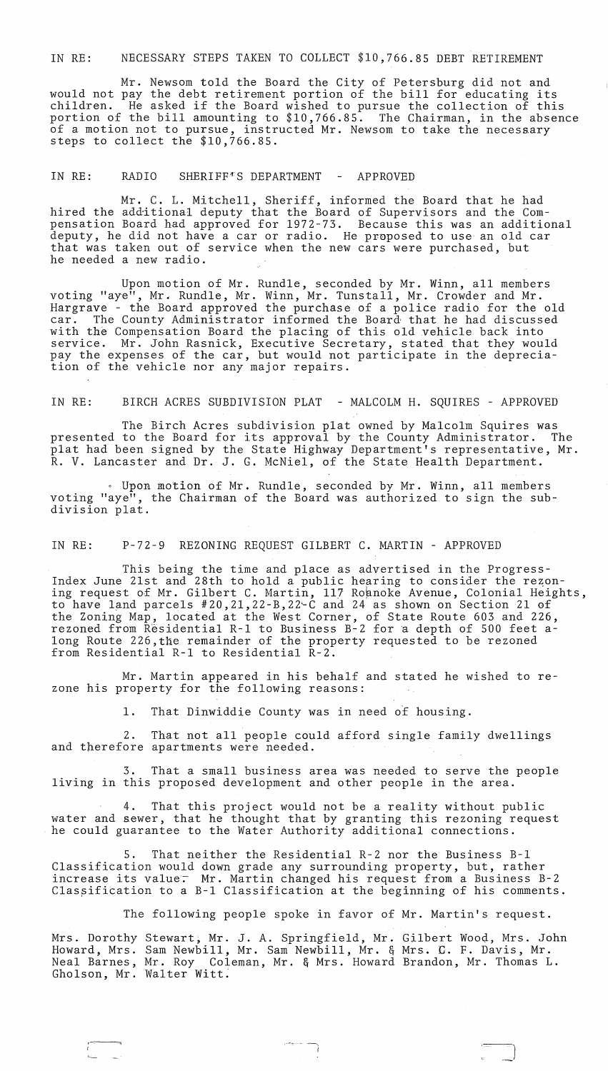### IN RE: NECESSARY STEPS TAKEN TO COLLECT \$10,766.85 DEBT RETIREMENT

Mr. Newsom told the Board the City of Petersburg did not and would not pay the debt retirement portion of the bill for educating its would not pay the dept retriement portion of the birl for educating its children. He asked if the Board wished to pursue the collection of this portion of the bill amounting to \$10,766.85. The Chairman, in the absence of a motion not to pursue, instructed Mr. Newsom to take the necessary steps to collect the \$10,766.85.

# IN RE: RADIO SHERIFF<sup>\*</sup>S DEPARTMENT - APPROVED

Mr. C. L. Mitchell, Sheriff, informed the Board that he had hired the additional deputy that the Board of Supervisors and the Compensation Board had approved for 1972-73. Because this was an additional deputy, he did not have a car or radio. He proposed to use an old car that was taken out of service when the new cars were purchased, but he needed a new radio.

Upon motion of Mr. Rundle, seconded by Mr. Winn, all members voting "aye", Mr. Rundle, Mr. Winn, Mr. Tunstall, Mr. Crowder and Mr. Hargrave - the Board approved the purchase of a police radio for the old car. The County Administrator informed the Board that he had discussed with the Compensation Board the placing of this old vehicle back into service. Mr. John Rasnick, Executive Secretary, stated that they would pay the expenses of the car, but would not participate in the depreciation of the vehicle nor any major repairs.

# IN RE: BIRCH ACRES SUBDIVISION PLAT - MALCOLM H. SQUIRES - APPROVED

The Birch Acres subdivision plat owned by Malcolm Squires was presented to the Board for its approval by the County Administrator. The plat had been signed by the State Highway Department's representative, Mr. R. V. Lancaster and Dr. J. G. McNiel, of the State Health Department.

. Upon motion of Mr. Rundle, seconded by Mr. Winn, all members voting "aye", the Chairman of the Board was authorized to sign the subdivision plat.

#### IN RE: P-72-9 REZONING REQUEST GILBERT C. MARTIN - APPROVED

This being the time and place as advertised in the Progress-Index June 21st and 28th to hold a public hearing to consider the rezoning request of Mr. Gilbert C. Martin, 117 Roanoke Avenue, Colonial Heights, to have land parcels #20,2l,22-B,22'-C and 24 as shown on Section 21 of the Zoning Map, located at the West Corner, of State Route 603 and 226, rezoned from Residential R-1 to Business B-2 for a depth of 500 feet along Route 226,the remainder of the property requested to be rezoned from Residential R-l to Residential R-2.

Mr. Martin appeared in his behalf and stated he wished to rezone his property for the following reasons:

1. That Dinwiddie County was in need of housing.

2. That not all people could afford single family dwellings and therefore apartments were needed.

3. That a small business area was needed to serve the people living in this proposed development and other people in the area.

4. That this project would not be a reality without public water and sewer, that he thought that by granting this rezoning request he could guarantee to the Water Authority additional connections.

5. That neither the Residential R-2 nor the Business B-1 Classification would down grade any surrounding property, but, rather increase its value. Mr. Martin changed his request from a Business B-2 Classification to a B-1 Classification at the beginning of his comments.

The following people spoke in favor of Mr. Martin's request.

Mrs. Dorothy Stewart, Mr. J. A. Springfield, Mr. Gilbert Wood, Mrs. John Howard, Mrs. Sam Newbill, Mr. Sam Newbill, Mr. & Mrs. C. F. Davis, Mr. Neal Barnes, Mr. Roy Coleman, Mr. & Mrs. Howard Brandon, Mr. Thomas L. Gholson, Mr. Walter Witt.

 $\rightarrow$ 

<sup>I</sup>'-. 'J L. **\_\_**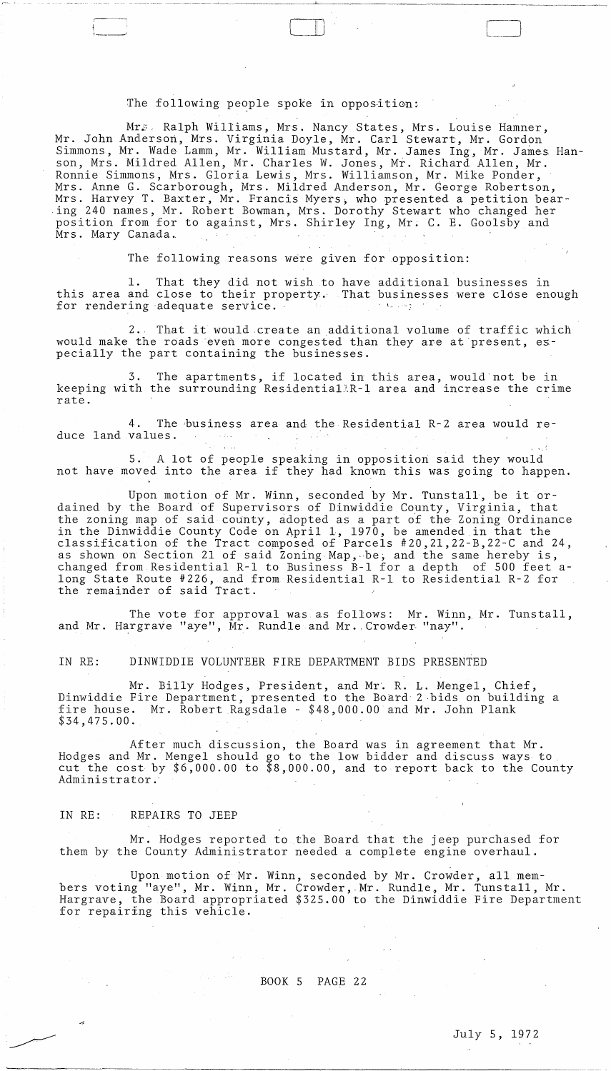# The following people spoke in opposition:

Mr $\varepsilon$ . Ralph Williams, Mrs. Nancy States, Mrs. Louise Hamner, Mr. John Anderson, Mrs. Virginia Doyle, Mr. Carl Stewart, Mr. Gordon Simmons, Mr. Wade Lamm, Mr. William Mustard, Mr. James lng, Mr. James. Hanson, Mrs. Mildred Allen, Mr. Charles W. Jones, Mr. Richard Allen, Mr. Ronnie Simmons, Mrs. Gloria Lewis, Mrs. Williamson, Mr. Mike Ponder, Mrs. Anne G. Scarborough, Mrs. Mildred Anderson, Mr. George Robertson, Mrs. Harvey T. Baxter, Mr. Francis Myers, who presented a petition bearing 240 names, Mr. Robert Bowman, Mrs. Dorothy Stewart who changed her position from for to against, Mrs. Shirley lng, Mr. C. E. Goolsby and Mrs. Mary Canada. an an

- ------.- --~ \_\_ .\_. \_\_ ~ .• \_. \_\_\_\_ ~\_. \_\_\_\_\_ .\_~\_'L\_.. \_\_\_\_\_ ~~ \_\_\_\_\_ \_

'--' [ II] [--~

The following reasons were given for opposition:

1. That they did not wish to have additional businesses ln this area and close to their property. That businesses were close enough for rendering adequate service.

2. That it would create an additional volume of traffic which would make the roads even more congested than they are at present, especially the part containing the businesses.

3. The apartments, if located in this area, would not be in keeping with the surrounding Residential $R-I$  area and increase the crime rate.

4. The business area and the Residential R-2 area would reduce land values.

5. A lot of people speaking in opposition said they would not have moved into the area if they had known this was going to happen.

Upon motion of Mr. Winn, seconded by Mr. Tunstall, be it ordained by the Board of Supervisors of Dinwiddie County, Virginia, that the zoning map of said county, adopted as a part o'f the Zoning Ordinance in the Dinwiddie County Code on April 1, 1970, be amended.in that the classification of the Tract composed of Parcels #20,21,22-B,22-C and 24, as shown on Section 21 of said Zoning Map, be, and the same hereby is, changed from Residential R-l to Business B-1 for a depth of 500 feet along State Route #226, and from Residential R-l to Residential R-2 for the remainder of said Tract.

The vote for approval was as follows: Mr. Winn, Mr. Tunstall, and Mr. Hargrave "aye", Mr. Rundle and Mr. Crowder "nay".

IN RE: DINWIDDIE VOLUNTEER FIRE DEPARTMENT BIDS PRESENTED

Mr. Billy Hodges, President, and Mr'. R. L. Mengel, Chief, Dinwiddie Fire Department, presented to the Board 2 ·bids on building a fire house. Mr. Robert Ragsdale - \$48,000.00 and Mr. John Plank \$34,475.00.

After much discussion, the Board was in agreement that Mr. Hodges and Mr. Mengel should go to the low bidder and discuss ways to cut the cost by \$6,000.00 to \$8,000.00, and to report back to the County Administrator .'

IN RE: REPAIRS TO JEEP

Mr. Hodges reported to the Board that the jeep purchased for them by the County Administrator needed a complete engine overhaul.

Upon motion of Mr. Winn, seconded by Mr. Crowder, all members voting "aye", Mr. Winn, Mr. Crowder,.Mr. Rundle, Mr. Tunstall, Mr. Hargrave, the Board appropriated \$325.00 to the Dinwiddie Fire Department for repairing this vehicle.

# BOOK 5 PAGE 22

 $\sim$   $\sim$ 

ing an sila.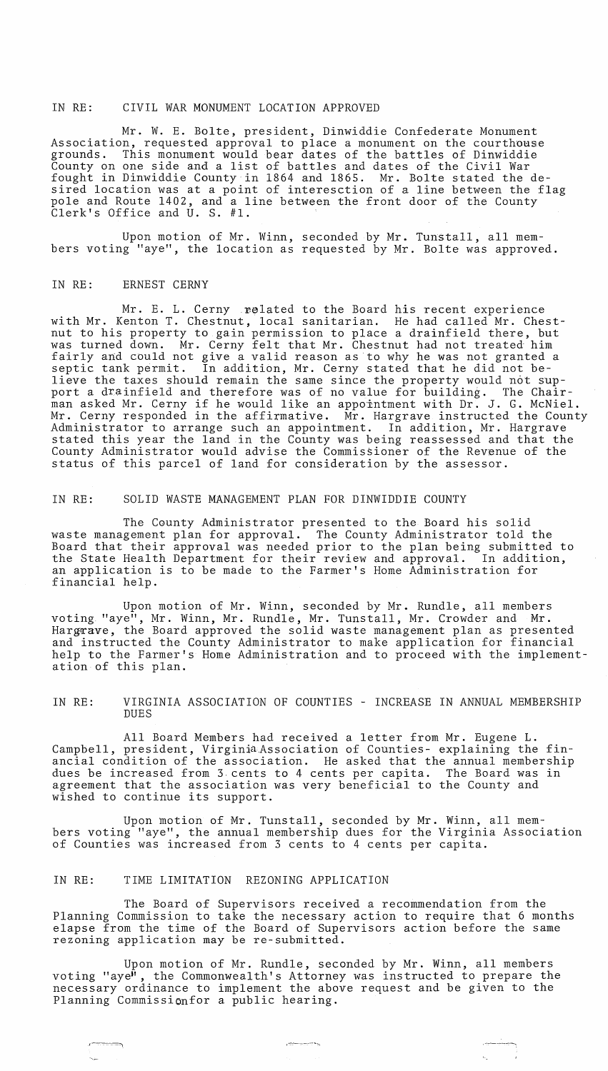### IN RE: CIVIL WAR MONUMENT LOCATION APPROVED

Mr. W. E. Bolte, president, Dinwiddie Confederate Monument Association, requested approval to place a monument on the courthouse grounds. This monument would bear dates of the battles of Dinwiddie County on one side and a list of battles and dates of the Civil War fought in Dinwiddie County in 1864 and 1865. Mr. Bolte stated the desired location was at a point of interesction of a line between the flag pole and Route 1402, and a line between the front door of the County Clerk's Office and U. S. #1.

Upon motion of Mr. Winn, seconded by Mr. Tunstall, all members voting "aye", the location as requested by Mr. Bolte was approved.

# IN RE: ERNEST CERNY

Mr. E. L. Cerny .related to the Board his recent experience with Mr. Kenton T. Chestnut, local sanitarian. He had called Mr. Chestnut to his property to gain permission to place a drainfield there, but was turned down. Mr. Cerny felt that Mr. Chestnut had not treated him fairly and could not give a valid reason as to why he was not granted a septic tank permit. In addition, Mr. Cerny stated that he did not believe the taxes should remain the same since the property would not support a drainfield and therefore was of no value for building. The Chairport a distinction and therefore was of no value for building. The endfi-<br>man asked Mr. Cerny if he would like an appointment with Dr. J. G. McNiel. Mr. Cerny responded in the affirmative. Mr. Hargrave instructed the County Administrator to arrange such an appointment. In addition, Mr. Hargrave stated this year the land in the County was being reassessed and that the County Administrator would advise the Commissioner of the Revenue of the status of this parcel of land for consideration by the assessor.

# IN RE: SOLID WASTE MANAGEMENT PLAN FOR DINWIDDIE COUNTY

The County Administrator presented to the Board his solid waste management plan for approval. The County Administrator told the Board that their approval was needed prior to the plan being submitted to the State Health Department for their review and approval. In addition, an application is to be made to the Farmer's Home Administration for financial help.

Upon motion of Mr. Winn, seconded by Mr. Rundle, all members voting "aye", Mr. Winn, Mr. Rundle, Mr. Tunstall, Mr. Crowder and Mr. Hargrave, the Board approved the solid waste management plan as presented and instructed the County Administrator to make application for financial help to the Farmer's Home Administration and to proceed with the implementation of this plan.

### IN RE: VIRGINIA ASSOCIATION OF COUNTIES - INCREASE IN ANNUAL MEMBERSHIP DUES

All Board Members had received a letter from Mr. Eugene L. Campbell, president, VirginiaAssociation of Counties- explaining the financial condition of the association. He asked that the annual membership dues be increased from 3, cents to 4 cents per capita. The Board was in agreement that the association was very beneficial to the County and wished to continue its support.

Upon motion of Mr. Tunstall, seconded by Mr. Winn, all members voting "aye", the annual membership dues for the Virginia Association of Counties was increased from 3 cents to 4 cents per capita.

# IN RE: TIME LIMITATION REZONING APPLICATION

, where  $\frac{1}{2}$ 

The Board of Supervisors received a recommendation from the Planning Commission to take the necessary action to require that 6 months elapse from the time of the Board of Supervisors action before the same rezoning application may be re-submitted.

Upon motion of Mr. Rundle, seconded by Mr. Winn, all members voting "aye", the Commonwealth's Attorney was instructed to prepare the necessary ordinance to implement the above request and be given to the Planning Commissionfor a public hearing .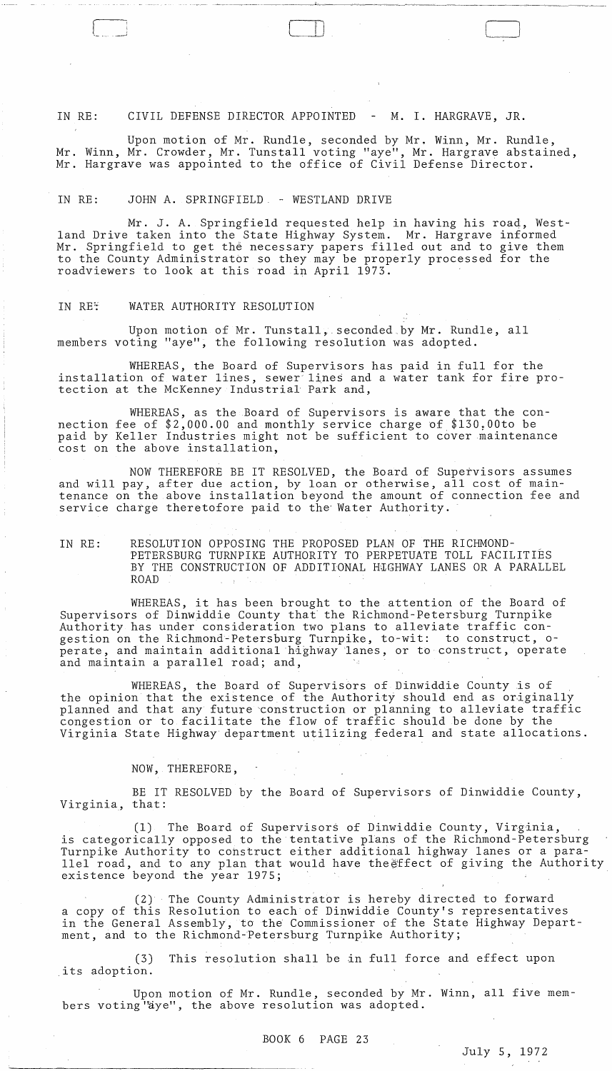IN RE: CIVIL DEFENSE DIRECTOR APPOINTED - M. I. HARGRAVE, JR.

Upon motion of Mr. Rundle, seconded by Mr. Winn, Mr. Rundle, Mr. Winn, Mr. Crowder, Mr. Tunstall voting "aye", Mr. Hargrave abstained, Mr. Hargrave was appointed to the office of Civil Defense Director.

IN RE: JOHN A. SPRINGFIELD - WESTLAND DRIVE

 $\Box$ 

Mr. J. A. Springfield requested help in having his road, Westland Drive taken into the State Highway System. Mr. Hargrave informed Mr. Springfield to get the necessary papers £illed out and to give them to the County Administrator so they may be properly processed for the roadviewers to look at this road in April 1973.

WATER AUTHORITY RESOLUTION IN RET

Upon motion of Mr. Tunstall, seconded by Mr. Rundle, all members voting "aye", the following resolution was adopted.

WHEREAS, the Board of Supervisors has paid in full for the installation of water lines, sewer lines and a water tank for fire protection at the McKenney Industrial Park and,

WHEREAS, as the Board of Supervisors is aware that the connection fee of \$2,000.00 and monthly service charge of \$130.00to be paid by Keller Industries might not be sufficient to cover maintenance cost on the above installation,

NOW THEREFORE BE IT RESOLVED, the Board of Supervisors assumes and will pay, after due action, by loan or otherwise, all cost of maintenance on the above installation beyond the amount of connection fee and service charge theretofore paid to the' Water Authority.

IN RE: RESOLUTION OPPOSING THE PROPOSED PLAN OF THE RICHMOND-PETERSBURG TURNPIKE AUTHORITY TO PERPETUATE TOLL FACILITIES BY THE CONSTRUCTION OF ADDITIONAL HIGHWAY LANES OR A PARALLEL ROAD

WHEREAS, it has been brought to the attention of the Board of Supervisors of Dinwiddie County that the Richmond-Petersburg Turnpike Authority has under consideration two plans to alleviate traffic congestion on the Richmond-Petersburg Turnpike, to-wit: to constrvct, operate, and maintain additional highway lanes, or to construct, operate and maintain a parallel road; and,

WHEREAS, the Board of Supervisors of Dinwiddie County is of the opinion that the existence of the Authority should end as originally planned and that any future 'construction or planning to alleviate traffic congestion or to facilitate the flow of traffic should be done by the Virginia State Highway department utilizing federal and state allocations.

NOW, THEREFORE,

BE IT RESOLVED by the Board of Supervisors of Dinwiddie County, Virginia, that:

(1) The Board of Supervisors of Dinwiddie County, Virginia, is categorically opposed to the tentative plans of the Richmond-Petersburg Turnpike Authority to construct either additional highway lanes or a parallel road, and to any plan that would have the ffect of giving the Authority existence beyond the year 1975;

(2) The County Administrator is hereby directed to forward a copy of this Resolution to each of Dinwiddie County's representatives in the General Assembly, to the Commissioner of the State Highway Department, and to the Richmond-Petersburg Turnpike Authority;

(3) This resolution shall be in full force and effect upon ,its adoption.

Upon motion of Mr. Rundle, seconded by Mr. Winn, all five members voting "aye", the above resolution was adopted.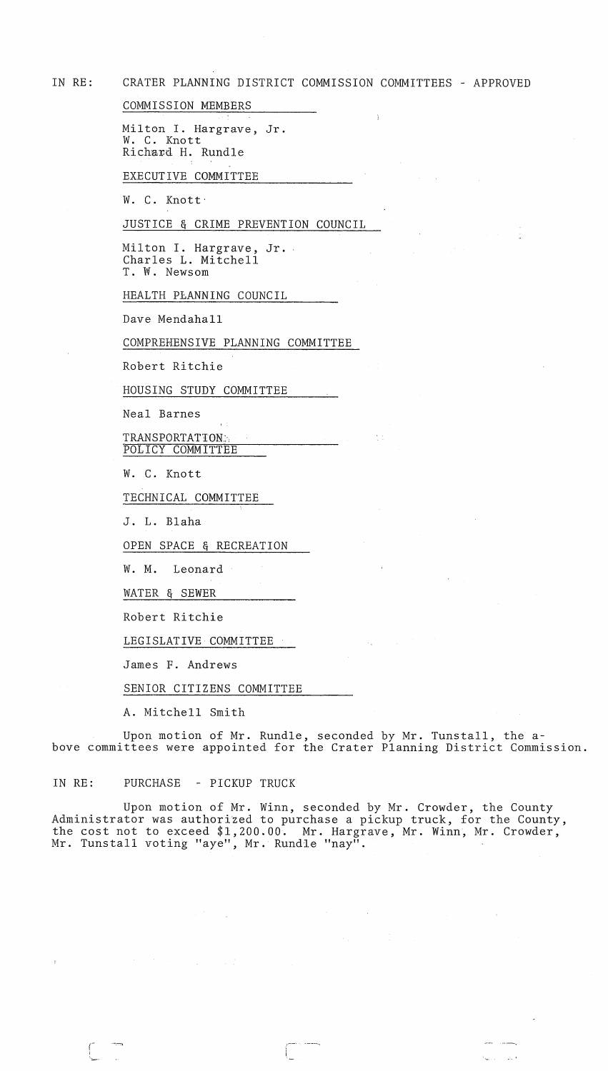IN RE: CRATER PLANNING DISTRICT COMMISSION COMMITTEES - APPROVED

COMMISSION MEMBERS

Milton I. Hargrave, Jr. W. C. Knott Richard H. Rundle

EXECUTIVE COMMITTEE

W. C. Knott·

JUSTICE & CRIME PREVENTION COUNCIL

Milton I. Hargrave, Jr. Charles L. Mitchell T. W. Newsom

HEALTH PLANNING COUNCIL

Dave Mendahall

COMPREHENSIVE PLANNING COMMITTEE

Robert Ritchie

HOUSING STUDY COMMITTEE

Neal Barnes

TRANSPORTATION.:-; POLICY COMMITTEE

W. C. Knott

TECHNICAL COMMITTEE

J. L. Blaha

OPEN SPACE & RECREATION

W. M. Leonard

WATER & SEWER

Robert Ritchie

LEGISLATIVE COMMITTEE

James F. Andrews

SENIOR CITIZENS COMMITTEE

 $\label{eq:2} \mathcal{L} = \mathcal{L} \left( \mathcal{L} \right) \left( \mathcal{L} \right) \left( \mathcal{L} \right) \left( \mathcal{L} \right)$ 

A. Mitchell Smith

Upon motion of Mr. Rundle, seconded by Mr. Tunstall, the above committees were appointed for the Crater Planning District Commission.

# IN RE: PURCHASE - PICKUP TRUCK

 $\mathcal{L}(\mathbf{q})$  and  $\mathcal{L}(\mathbf{q})$  are the set of the set of the set of  $\mathcal{L}(\mathbf{q})$  . In the set of  $\mathcal{L}(\mathbf{q})$ 

 $\begin{pmatrix} 1 & 1 \\ 1 & 1 \end{pmatrix}$ 

Upon motion of Mr. Winn, seconded by Mr. Crowder, the County Administrator was authorized to purchase a pickup truck, for the County, the cost not to exceed \$1,200.00. Mr. Hargrave, Mr. Winn, Mr. Crowder, Mr. Tunstall voting "aye", Mr. Rundle "nay".

 $\mathcal{O}(\mathcal{O}_\mathcal{O})$  . The contract of the contract of the contract of the contract of  $\mathcal{O}(\mathcal{O}_\mathcal{O})$ 

 $\label{eq:2.1} \frac{1}{\sqrt{2}}\int_{\mathbb{R}^3}\frac{1}{\sqrt{2}}\left(\frac{1}{\sqrt{2}}\right)^2\frac{1}{\sqrt{2}}\left(\frac{1}{\sqrt{2}}\right)^2\frac{1}{\sqrt{2}}\left(\frac{1}{\sqrt{2}}\right)^2\frac{1}{\sqrt{2}}\left(\frac{1}{\sqrt{2}}\right)^2.$ 

 $\overline{\left(\begin{array}{ccc} 0 & 0 & \cdots \\ 0 & 0 & \cdots \end{array}\right)}$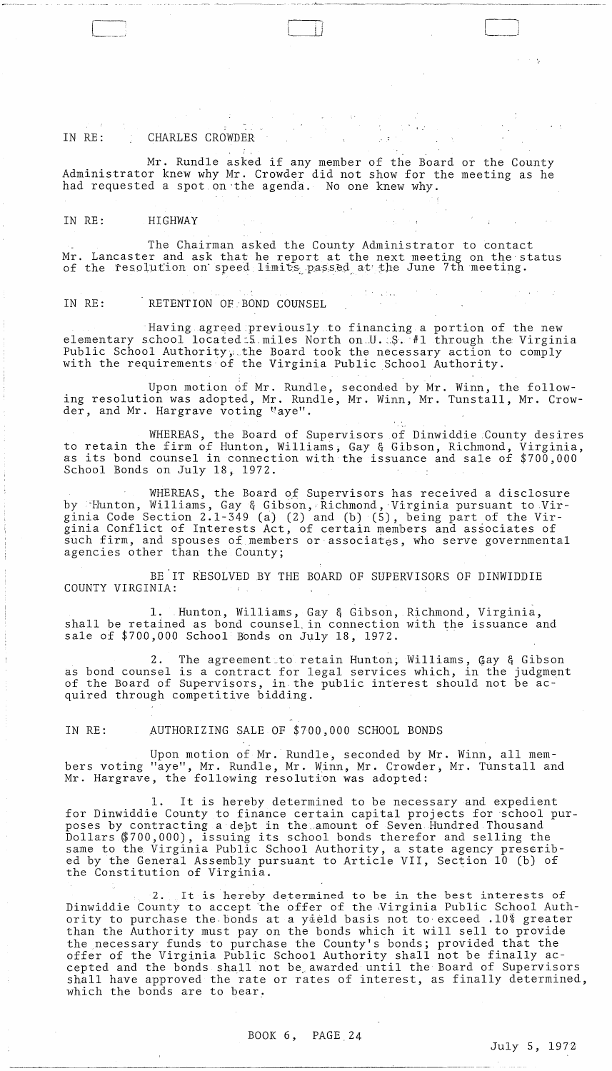# IN RE: CHARLES CROWDER

Mr. Rundle asked if any member of the Board or the County Administrator knew why Mr. Crowder did not show for the meeting as he had requested a spot on the agenda. No one knew why.

 $\mathcal{L}$ 

#### IN RE: HIGHWAY

 $\lfloor ~\rfloor$ 

The Chairman asked the County Administrator to contact Mr. Lancaster and ask that he report at the next meeting on the status af the resolution on speed limits passed at the June 7th meeting.

### IN RE: RETENTION OF. BOND COUNSEL

Having agreed previously to financing a portion of the new elementary school located:5.miles North on U. . S. #1 through the Virginia Public School Authority, the Board took the necessary action to comply with the requirements of the Virginia Public School Authority.

Upon motion of Mr. Rundle, seconded by Mr. Winn, the following resolution was adopted, Mr. Rundle, Mr. Winn, Mr. Tunstall, Mr. Crowder, and Mr. Hargrave voting "aye".

WHEREAS, the Board of Supervisors of Dinwiddie County desires to retain the firm of Hunton, Williams, Gay & Gibson, Richmond, Virginia, as its bond counsel in connection with the issuance and sale of \$700,000 School Bonds on July 18, 1972.

WHEREAS, the Board of Supervisors has received a disclosure by "Hunton, Williams, Gay & Gibson, Richmond, Virginia pursuant to Virginia Code Section 2.1-349 (a) (2) and (b) (5), being part of the Virginia Conflict of Interests Act, of certain members and associates of such firm, and spouses of members or associates, who serve governmental agencies other than the County;

BE IT RESOLVED BY THE BOARD OF SUPERVISORS OF DINWIDDIE COUNTY VIRGINIA:

1. Hunton, Williams, Gay & Gibson, Richmond, Virginia, shall be retained as bond counsel in connection with the issuance and sale of \$700,000 School Bonds on July 18, 1972.

2. The agreement to retain Hunton, Williams, Gay & Gibson as bond counsel is a contract for legal services which, in the judgment as some sounder is a concruct for regar sorrices which, in the judgment of the Board of Supervisors, in the public interest should not be acquired through competitive bidding.

IN RE: AUTHORIZING SALE OF \$700,000 SCHOOL BONDS

Upon motion of Mr. Rundle, seconded by Mr. Winn, all members voting "aye", Mr. Rundle, Mr. Winn, Mr. Crowder, Mr. Tunstall and Mr. Hargrave, the following resolution was adopted:

**1.** It is hereby determined to. be necessary and expedient for Dinwiddie County to finance certain capital projects for school purposes by contracting a debt in the amount of Seven Hundred Thousand Dollars (\$700,000), issuing its school bonds therefor and selling the same to the Virginia Public School Authority, a state agency prescribed by the General Assembly pursuant to Article VII, Section 10 (b) of the Constitution of Virginia.

2. It is hereby determined to be in the best interests of Dinwiddie County to accept the offer of the Virginia Public School Authority to purchase the bonds at a yield basis not to exceed .10% greater than the Authority must pay on the bonds which it will sell to provide the necessary funds to purchase the County's bonds; provided that the affer of the Virginia Public School Authority shall not be finally accepted and the bonds shall not be awarded until the Board of Supervisors shall have approved the rate or rates of interest, as finally determined, which the bonds are to bear.

# BOOK 6, PAGE 24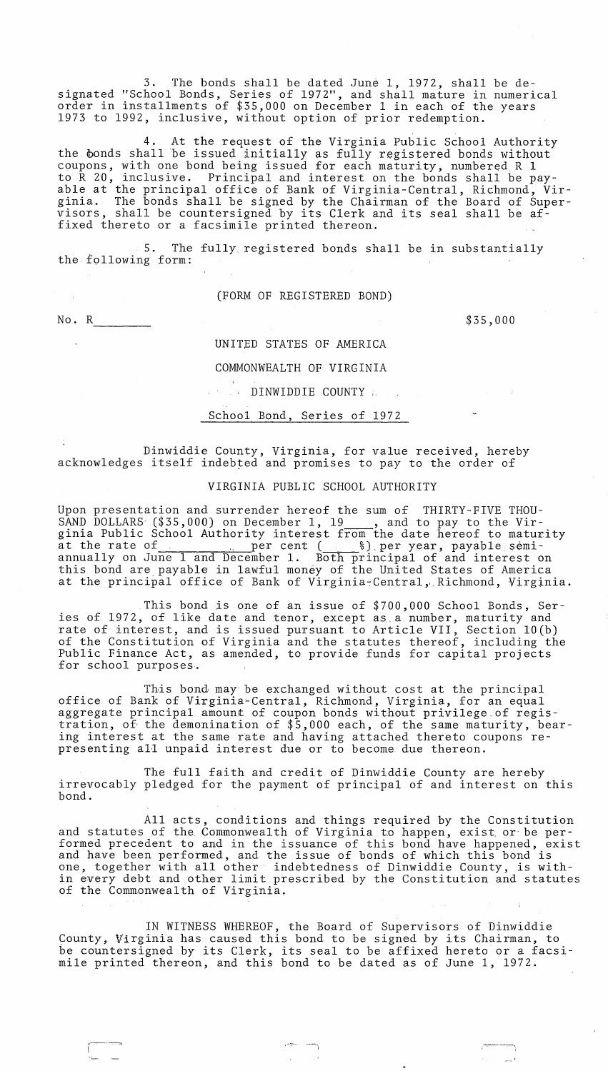3. The bonds shall be dated June 1, 1972, shall be designated "School Bonds, Series of 1972", and shall mature in numerical order in installments of \$35,000 on December 1 in each of the years 1973 to 1992, inclusive, without option of prior redemption.

4. At the request of the Virginia Public School Authority the bonds shall be issued initially as fully registered bonds without coupons, with one bond being issued for each maturity, numbered R <sup>1</sup> to R 20, inclusive. Principal and interest on the bonds shall be payable at the principal office of Bank of Virginia-Central, Richmond, Virginia. The bonds shall be signed by the Chairman of the Board of Supervisors, shall be countersigned by its Clerk and its seal shall be affixed thereto or a facsimile printed thereon.

5. The fully registered bonds shall be in substantially the following form:

#### (FORM OF REGISTERED BOND)

No. R

,-.-. -'-"

\$35,000

# UNITED STATES OF AMERICA

COMMONWEALTH OF VIRGINIA

**DINWIDDIE COUNTY DEATH** 

# School Bond, Series of 1972

Dinwiddie County, Virginia, for value received, hereby acknowledges itself indebted and promises to pay to the order of

### VIRGINIA PUBLIC SCHOOL AUTHORITY

Upon presentation and surrender hereof the sum of THIRTY-FIVE THOU-SAND DOLLARS (\$35,000) on December 1,  $19$   $\qquad$  , and to pay to the Virginia Public School Authority interest from the date hereof to maturity at the rate of  $p$  per cent (8) per year, payable semiannually on June 1 and December 1. Both principal of and interest on this bond are payable in lawful money of the United States of America at the principal office of Bank of Virginia-Central, Richmond, Virginia.

This bond is one of an issue of \$700,000 School Bonds, Series of 1972, of like date and tenor, except as a number, maturity and rate of interest, and is issued pursuant to Article VII, Section 10(b) of the Constitution of Virginia and the statutes thereof, including the Public Finance Act, as amended, to provide funds for capital projects for school purposes.

This bond may be exchanged without cost at the principal office of Bank of Virginia-Central, Richmond, Virginia, for an equal aggregate principal amount of coupon bonds without privilege,of registration, of the demonination of  $$5,000$  each, of the same maturity, bearing interest at the same rate and having attached thereto coupons representing all unpaid interest due or to become due thereon.

The full faith and credit of Dinwiddie County are hereby irrevocably pledged for the payment of principal of and interest on this bond.

All acts, conditions and things required by the Constitution and statutes of the Commonwealth of Virginia to happen, exist or be performed precedent to and in the issuance of this bond have happened, exist and have been performed, and the issue of bonds of which this bond is one, together with all other indebtedness of Dinwiddie County, is within every debt and other limit prescribed by the Constitution and statutes of the Commonwealth of Virginia.

IN WITNESS WHEREOF, the Board of Supervisors of Dinwiddie County, Virginia has caused this bond to be signed by its Chairman, to be countersigned by its Clerk, its seal to be affixed hereto or a facsimile printed thereon, and this bond to be dated as of June 1, 1972.

 $\begin{array}{ccc} \hline \end{array}$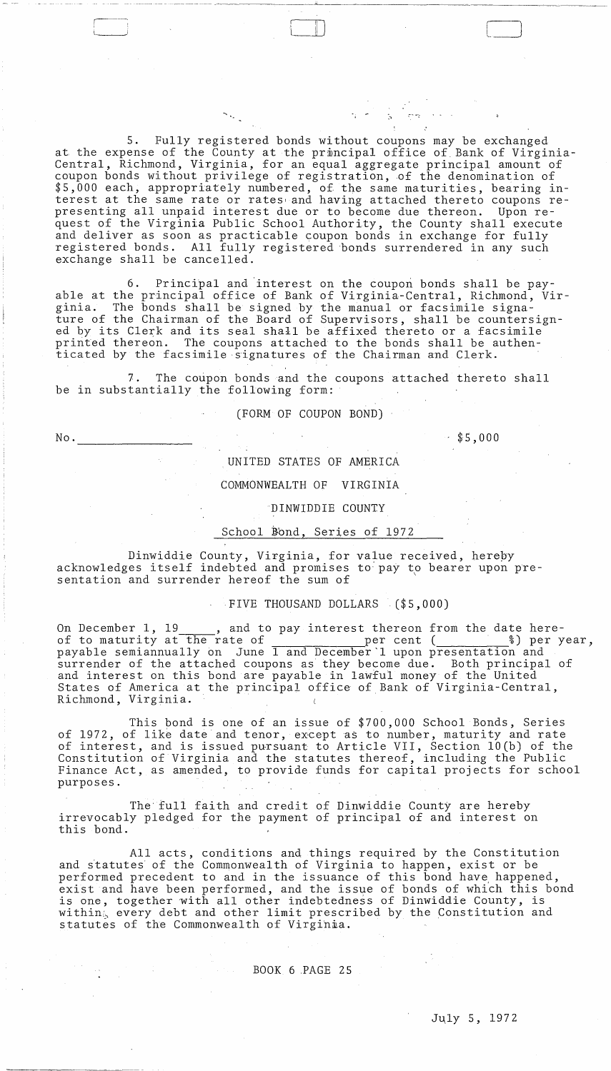Fully registered bonds without coupons may be exchanged at the expense of the County at the principal office of Bank of Virginia-Central, Richmond, Virginia, for an equal aggregate principal amount of coupon bonds without privilege of registration, of the denomination of \$5,000 each, appropriately numbered, of the same maturities, bearing interest at the same rate or rates' and having attached thereto coupons representing all unpaid interest due or to become due thereon. Upon request of the Virginia Public School Authority, the County shall execute and deliver as soon as practicable coupon bonds in exchange for fully registered bonds. All fully registered bonds surrendered in any such exchange shall be cancelled.

 $\mathbb{I}$ 

Principal and interest on the coupon bonds shall be payable at the principal office of Bank of Virginia-Central, Richmond, Vir-<br>ginia. The bonds shall be signed by the manual or facsimile signa-The bonds shall be signed by the manual or facsimile signature of the Chairman of the Board of Supervisors, shall be countersigned by its Clerk and its seal shall be affixed thereto or a facsimile printed thereon. The coupons attached to the bonds shall be authenticated by the facsimile signatures of the Chairman and Clerk.

The coupon bonds and the coupons attached thereto shall be in substantially the following form:

(FORM OF COUPON BOND)

No.

 $+$  \$5,000  $\,$ 

# UNITED STATES OF AMERICA

# COMMONWEALTH OF VIRGINIA

### DINWIDDIE COUNTY

### School Bond, Series of 1972

Dinwiddie County, Virginia, for value received, herepy acknowledges itself indebted and promises to pay to bearer upon presentation and surrender hereof the sum of

# FIVE THOUSAND DOLLARS (\$5,000)

On December 1, 19 , and to pay interest thereon from the date hereof to maturity at the rate of  $p\omega$ , and the per cent  $\frac{p\omega}{p}$  per cent  $\frac{p\omega}{p}$  per year, payable semiannually on June 1 and December 1 upon presentation and surrender of the attached coupons as they become due. Both principal of and interest on this bond are payable in lawful money of the United States of America at the principal office of Bank of Virginia-Central, Richmond, Virginia.

This bond is one of an issue of \$700,000 School Bonds, Series of 1972, of like date and tenor, except as to number, maturity and rate of interest, and is issued pursuant to Article VII, Section 10(b) of the Constitution of Virginia and the statutes thereof, including the Public Finance Act, as amended, to provide funds for capital projects for school purposes.

The full faith and credit of Dinwiddie County are hereby irrevocably pledged for the payment of principal of and interest on this bond.

All acts, conditions and things required by the Constitution and statutes of the Commonwealth of Virginia to happen, exist or be performed precedent to and in the issuance of this bond have happened, exist and have been performed, and the issue of bonds of which this bond is one, together with all other indebtedness of Dinwiddie County, is withing every debt and other limit prescribed by the Constitution and statutes of the Commonwealth of Virginia.

BOOK 6 PAGE 25

1940)<br>1940

 $\sim 10^{-1}$